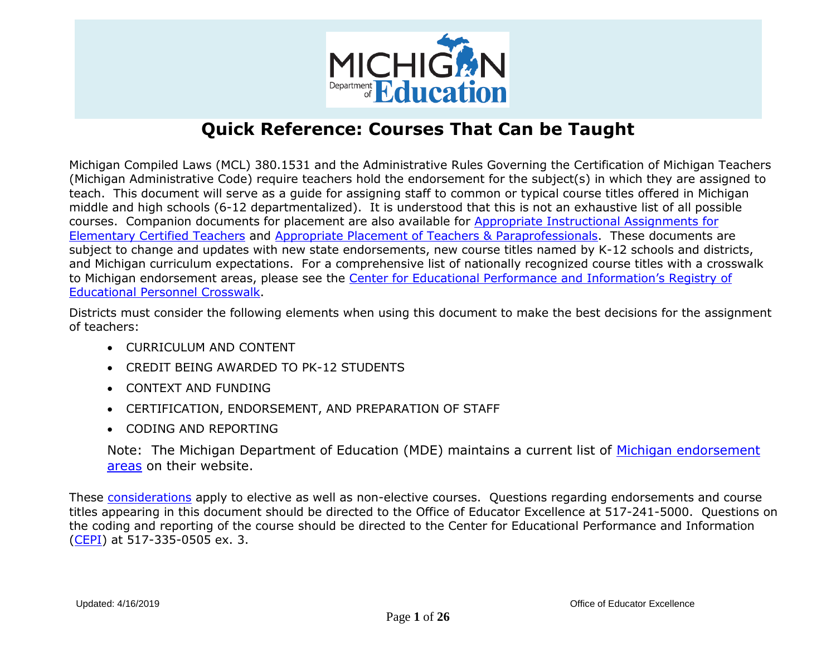

Michigan Compiled Laws (MCL) 380.1531 and the Administrative Rules Governing the Certification of Michigan Teachers (Michigan Administrative Code) require teachers hold the endorsement for the subject(s) in which they are assigned to teach. This document will serve as a guide for assigning staff to common or typical course titles offered in Michigan middle and high schools (6-12 departmentalized). It is understood that this is not an exhaustive list of all possible courses. Companion documents for placement are also available for [Appropriate Instructional Assignments for](https://www.michigan.gov/documents/mde/Appropriate_Assignments_for_El_Ed_217010_7.pdf)  [Elementary Certified Teachers](https://www.michigan.gov/documents/mde/Appropriate_Assignments_for_El_Ed_217010_7.pdf) and [Appropriate Placement of Teachers & Paraprofessionals.](https://www.michigan.gov/documents/mde/Appropriate_Placement_of_Educators_629973_7.pdf) These documents are subject to change and updates with new state endorsements, new course titles named by K-12 schools and districts, and Michigan curriculum expectations. For a comprehensive list of nationally recognized course titles with a crosswalk to Michigan endorsement areas, please see the [Center for Educational Performance and Information's Registry of](https://www.michigan.gov/cepi/0,4546,7-113-986_10478---,00.html)  [Educational Personnel Crosswalk.](https://www.michigan.gov/cepi/0,4546,7-113-986_10478---,00.html)

Districts must consider the following elements when using this document to make the best decisions for the assignment of teachers:

- CURRICULUM AND CONTENT
- CREDIT BEING AWARDED TO PK-12 STUDENTS
- CONTEXT AND FUNDING
- CERTIFICATION, ENDORSEMENT, AND PREPARATION OF STAFF
- CODING AND REPORTING

Note: The Michigan Department of Education (MDE) maintains a current list of [Michigan endorsement](https://www.michigan.gov/documents/mde/Endorsements_and_Codes_553949_7.pdf)  [areas](https://www.michigan.gov/documents/mde/Endorsements_and_Codes_553949_7.pdf) on their website.

These [considerations](http://www.michigan.gov/documents/mde/Proper_Placement_Considerations_526653_7.pdf) apply to elective as well as non-elective courses. Questions regarding endorsements and course titles appearing in this document should be directed to the Office of Educator Excellence at 517-241-5000. Questions on the coding and reporting of the course should be directed to the Center for Educational Performance and Information [\(CEPI\)](https://www.michigan.gov/cepi/) at 517-335-0505 ex. 3.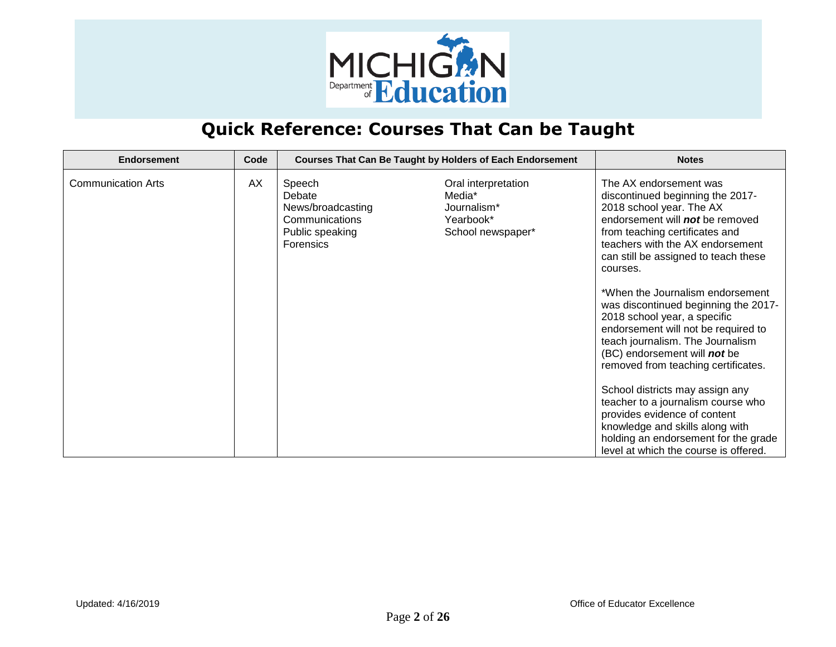

| <b>Endorsement</b>        | Code |                                                                                                | <b>Courses That Can Be Taught by Holders of Each Endorsement</b>               | <b>Notes</b>                                                                                                                                                                                                                                                                                                                                                                                                                                                                                                                                                                                                                                                                                                                                   |
|---------------------------|------|------------------------------------------------------------------------------------------------|--------------------------------------------------------------------------------|------------------------------------------------------------------------------------------------------------------------------------------------------------------------------------------------------------------------------------------------------------------------------------------------------------------------------------------------------------------------------------------------------------------------------------------------------------------------------------------------------------------------------------------------------------------------------------------------------------------------------------------------------------------------------------------------------------------------------------------------|
| <b>Communication Arts</b> | AX   | Speech<br>Debate<br>News/broadcasting<br>Communications<br>Public speaking<br><b>Forensics</b> | Oral interpretation<br>Media*<br>Journalism*<br>Yearbook*<br>School newspaper* | The AX endorsement was<br>discontinued beginning the 2017-<br>2018 school year. The AX<br>endorsement will not be removed<br>from teaching certificates and<br>teachers with the AX endorsement<br>can still be assigned to teach these<br>courses.<br>*When the Journalism endorsement<br>was discontinued beginning the 2017-<br>2018 school year, a specific<br>endorsement will not be required to<br>teach journalism. The Journalism<br>(BC) endorsement will not be<br>removed from teaching certificates.<br>School districts may assign any<br>teacher to a journalism course who<br>provides evidence of content<br>knowledge and skills along with<br>holding an endorsement for the grade<br>level at which the course is offered. |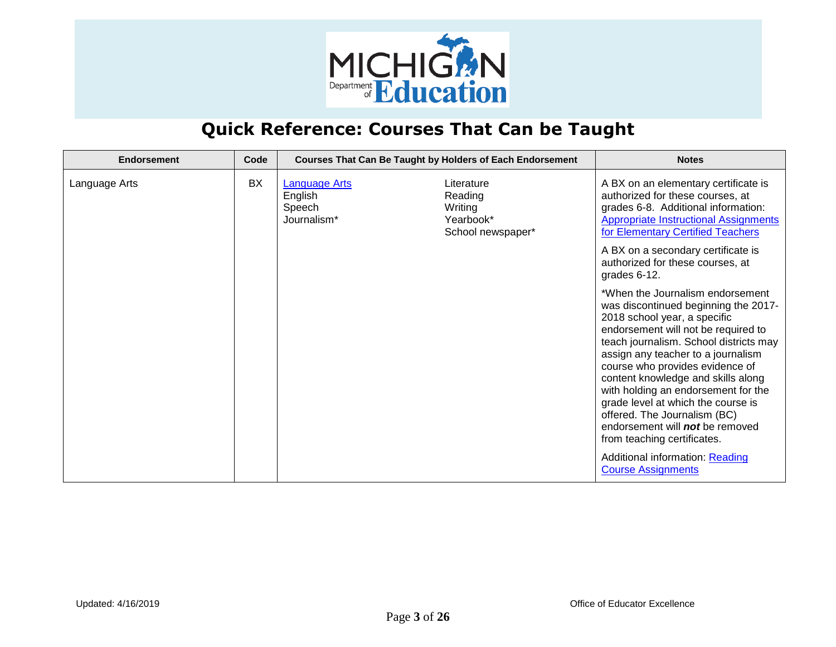

| <b>Endorsement</b> | Code |                                                          | <b>Courses That Can Be Taught by Holders of Each Endorsement</b>   | <b>Notes</b>                                                                                                                                                                                                                                                                                                                                                                                                                                                                                                                                            |
|--------------------|------|----------------------------------------------------------|--------------------------------------------------------------------|---------------------------------------------------------------------------------------------------------------------------------------------------------------------------------------------------------------------------------------------------------------------------------------------------------------------------------------------------------------------------------------------------------------------------------------------------------------------------------------------------------------------------------------------------------|
| Language Arts      | BX   | <b>Language Arts</b><br>English<br>Speech<br>Journalism* | Literature<br>Reading<br>Writing<br>Yearbook*<br>School newspaper* | A BX on an elementary certificate is<br>authorized for these courses, at<br>grades 6-8. Additional information:<br><b>Appropriate Instructional Assignments</b><br>for Elementary Certified Teachers                                                                                                                                                                                                                                                                                                                                                    |
|                    |      |                                                          |                                                                    | A BX on a secondary certificate is<br>authorized for these courses, at<br>grades 6-12.                                                                                                                                                                                                                                                                                                                                                                                                                                                                  |
|                    |      |                                                          |                                                                    | *When the Journalism endorsement<br>was discontinued beginning the 2017-<br>2018 school year, a specific<br>endorsement will not be required to<br>teach journalism. School districts may<br>assign any teacher to a journalism<br>course who provides evidence of<br>content knowledge and skills along<br>with holding an endorsement for the<br>grade level at which the course is<br>offered. The Journalism (BC)<br>endorsement will not be removed<br>from teaching certificates.<br>Additional information: Reading<br><b>Course Assignments</b> |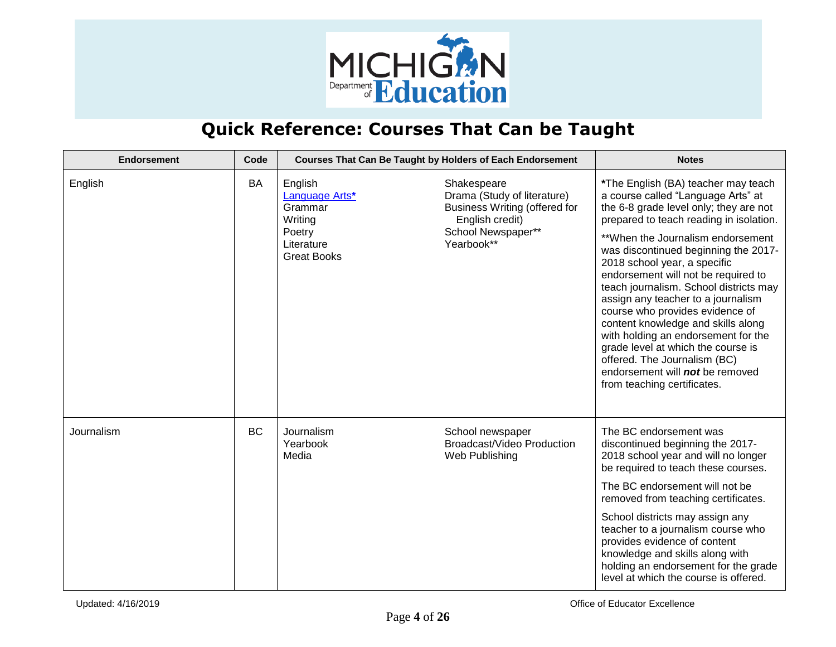

| <b>Endorsement</b> | Code      | Courses That Can Be Taught by Holders of Each Endorsement                                     |                                                                                                                                    | <b>Notes</b>                                                                                                                                                                                                                                                                                                                                                                                                                                                                                                                                                                                                                                               |
|--------------------|-----------|-----------------------------------------------------------------------------------------------|------------------------------------------------------------------------------------------------------------------------------------|------------------------------------------------------------------------------------------------------------------------------------------------------------------------------------------------------------------------------------------------------------------------------------------------------------------------------------------------------------------------------------------------------------------------------------------------------------------------------------------------------------------------------------------------------------------------------------------------------------------------------------------------------------|
| English            | BA        | English<br>Language Arts*<br>Grammar<br>Writing<br>Poetry<br>Literature<br><b>Great Books</b> | Shakespeare<br>Drama (Study of literature)<br>Business Writing (offered for<br>English credit)<br>School Newspaper**<br>Yearbook** | *The English (BA) teacher may teach<br>a course called "Language Arts" at<br>the 6-8 grade level only; they are not<br>prepared to teach reading in isolation.<br>**When the Journalism endorsement<br>was discontinued beginning the 2017-<br>2018 school year, a specific<br>endorsement will not be required to<br>teach journalism. School districts may<br>assign any teacher to a journalism<br>course who provides evidence of<br>content knowledge and skills along<br>with holding an endorsement for the<br>grade level at which the course is<br>offered. The Journalism (BC)<br>endorsement will not be removed<br>from teaching certificates. |
| Journalism         | <b>BC</b> | Journalism<br>Yearbook<br>Media                                                               | School newspaper<br>Broadcast/Video Production<br>Web Publishing                                                                   | The BC endorsement was<br>discontinued beginning the 2017-<br>2018 school year and will no longer<br>be required to teach these courses.<br>The BC endorsement will not be<br>removed from teaching certificates.<br>School districts may assign any<br>teacher to a journalism course who<br>provides evidence of content<br>knowledge and skills along with<br>holding an endorsement for the grade<br>level at which the course is offered.                                                                                                                                                                                                             |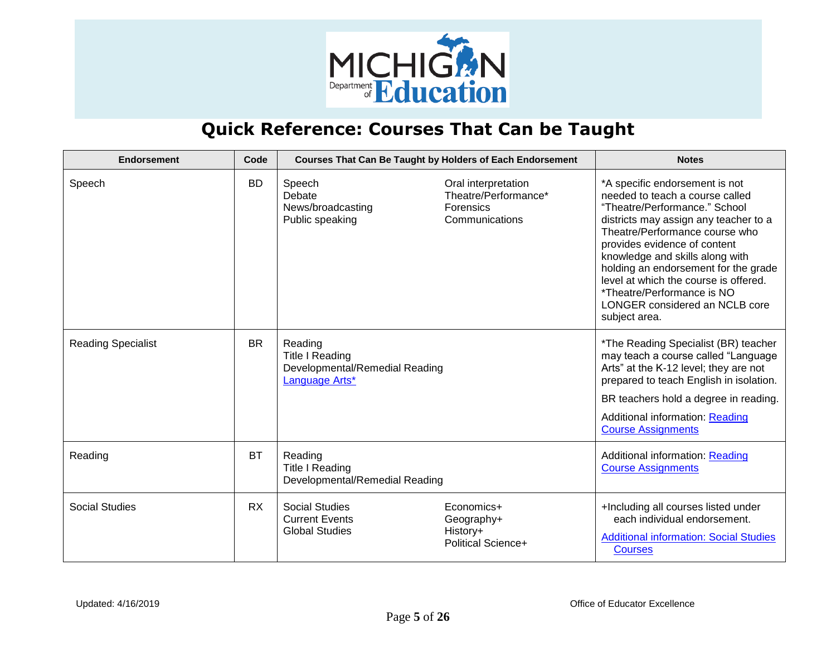

| <b>Endorsement</b>        | Code      |                                                                                | <b>Courses That Can Be Taught by Holders of Each Endorsement</b>           | <b>Notes</b>                                                                                                                                                                                                                                                                                                                                                                                                       |
|---------------------------|-----------|--------------------------------------------------------------------------------|----------------------------------------------------------------------------|--------------------------------------------------------------------------------------------------------------------------------------------------------------------------------------------------------------------------------------------------------------------------------------------------------------------------------------------------------------------------------------------------------------------|
| Speech                    | <b>BD</b> | Speech<br>Debate<br>News/broadcasting<br>Public speaking                       | Oral interpretation<br>Theatre/Performance*<br>Forensics<br>Communications | *A specific endorsement is not<br>needed to teach a course called<br>"Theatre/Performance." School<br>districts may assign any teacher to a<br>Theatre/Performance course who<br>provides evidence of content<br>knowledge and skills along with<br>holding an endorsement for the grade<br>level at which the course is offered.<br>*Theatre/Performance is NO<br>LONGER considered an NCLB core<br>subject area. |
| <b>Reading Specialist</b> | <b>BR</b> | Reading<br>Title I Reading<br>Developmental/Remedial Reading<br>Language Arts* |                                                                            | *The Reading Specialist (BR) teacher<br>may teach a course called "Language<br>Arts" at the K-12 level; they are not<br>prepared to teach English in isolation.<br>BR teachers hold a degree in reading.<br>Additional information: Reading<br><b>Course Assignments</b>                                                                                                                                           |
| Reading                   | <b>BT</b> | Reading<br><b>Title I Reading</b><br>Developmental/Remedial Reading            |                                                                            | Additional information: Reading<br><b>Course Assignments</b>                                                                                                                                                                                                                                                                                                                                                       |
| <b>Social Studies</b>     | <b>RX</b> | <b>Social Studies</b><br><b>Current Events</b><br><b>Global Studies</b>        | Economics+<br>Geography+<br>History+<br><b>Political Science+</b>          | +Including all courses listed under<br>each individual endorsement.<br><b>Additional information: Social Studies</b><br><b>Courses</b>                                                                                                                                                                                                                                                                             |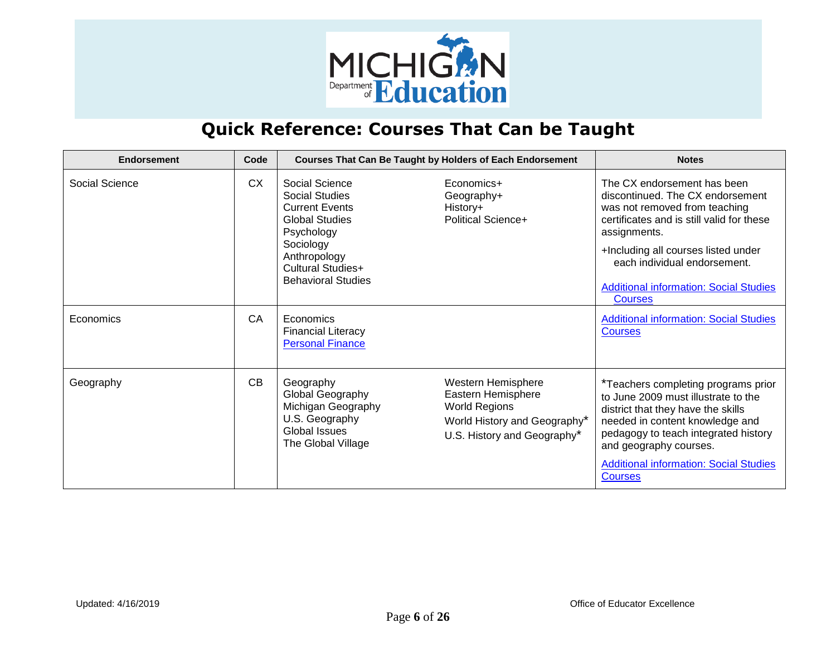

| Endorsement    | Code      |                                                                                                                                                                                 | <b>Courses That Can Be Taught by Holders of Each Endorsement</b>                                                                | <b>Notes</b>                                                                                                                                                                                                                                                                                            |
|----------------|-----------|---------------------------------------------------------------------------------------------------------------------------------------------------------------------------------|---------------------------------------------------------------------------------------------------------------------------------|---------------------------------------------------------------------------------------------------------------------------------------------------------------------------------------------------------------------------------------------------------------------------------------------------------|
| Social Science | <b>CX</b> | Social Science<br>Social Studies<br><b>Current Events</b><br><b>Global Studies</b><br>Psychology<br>Sociology<br>Anthropology<br>Cultural Studies+<br><b>Behavioral Studies</b> | Economics+<br>Geography+<br>History+<br><b>Political Science+</b>                                                               | The CX endorsement has been<br>discontinued. The CX endorsement<br>was not removed from teaching<br>certificates and is still valid for these<br>assignments.<br>+Including all courses listed under<br>each individual endorsement.<br><b>Additional information: Social Studies</b><br><b>Courses</b> |
| Economics      | CA        | Economics<br><b>Financial Literacy</b><br><b>Personal Finance</b>                                                                                                               |                                                                                                                                 | <b>Additional information: Social Studies</b><br><b>Courses</b>                                                                                                                                                                                                                                         |
| Geography      | CB        | Geography<br>Global Geography<br>Michigan Geography<br>U.S. Geography<br>Global Issues<br>The Global Village                                                                    | Western Hemisphere<br>Eastern Hemisphere<br><b>World Regions</b><br>World History and Geography*<br>U.S. History and Geography* | *Teachers completing programs prior<br>to June 2009 must illustrate to the<br>district that they have the skills<br>needed in content knowledge and<br>pedagogy to teach integrated history<br>and geography courses.<br><b>Additional information: Social Studies</b><br><b>Courses</b>                |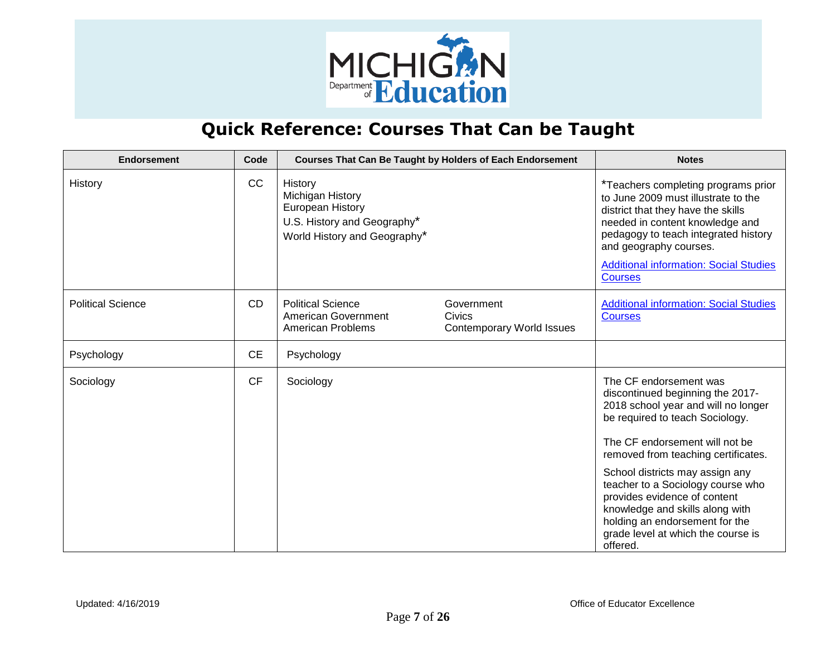

| <b>Endorsement</b>       | Code      |                                                                                                                | Courses That Can Be Taught by Holders of Each Endorsement       | <b>Notes</b>                                                                                                                                                                                                                                                                             |
|--------------------------|-----------|----------------------------------------------------------------------------------------------------------------|-----------------------------------------------------------------|------------------------------------------------------------------------------------------------------------------------------------------------------------------------------------------------------------------------------------------------------------------------------------------|
| History                  | CC        | History<br>Michigan History<br>European History<br>U.S. History and Geography*<br>World History and Geography* |                                                                 | *Teachers completing programs prior<br>to June 2009 must illustrate to the<br>district that they have the skills<br>needed in content knowledge and<br>pedagogy to teach integrated history<br>and geography courses.<br><b>Additional information: Social Studies</b><br><b>Courses</b> |
| <b>Political Science</b> | <b>CD</b> | <b>Political Science</b><br>American Government<br><b>American Problems</b>                                    | Government<br><b>Civics</b><br><b>Contemporary World Issues</b> | <b>Additional information: Social Studies</b><br><b>Courses</b>                                                                                                                                                                                                                          |
| Psychology               | <b>CE</b> | Psychology                                                                                                     |                                                                 |                                                                                                                                                                                                                                                                                          |
| Sociology                | <b>CF</b> | Sociology                                                                                                      |                                                                 | The CF endorsement was<br>discontinued beginning the 2017-<br>2018 school year and will no longer<br>be required to teach Sociology.<br>The CF endorsement will not be<br>removed from teaching certificates.                                                                            |
|                          |           |                                                                                                                |                                                                 | School districts may assign any<br>teacher to a Sociology course who<br>provides evidence of content<br>knowledge and skills along with<br>holding an endorsement for the<br>grade level at which the course is<br>offered.                                                              |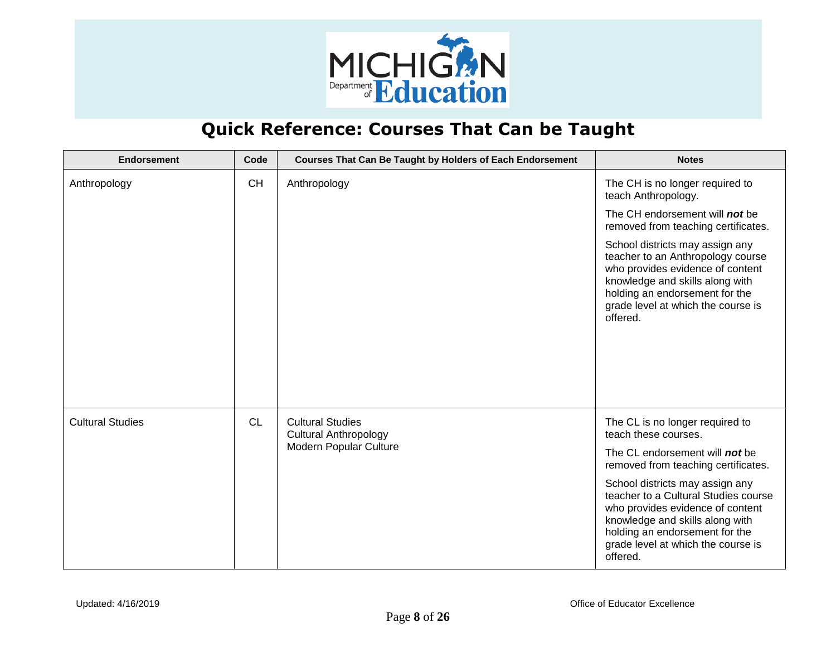

| <b>Endorsement</b>      | Code      | <b>Courses That Can Be Taught by Holders of Each Endorsement</b> | <b>Notes</b>                                                                                                                                                                                                                       |
|-------------------------|-----------|------------------------------------------------------------------|------------------------------------------------------------------------------------------------------------------------------------------------------------------------------------------------------------------------------------|
| Anthropology            | <b>CH</b> | Anthropology                                                     | The CH is no longer required to<br>teach Anthropology.                                                                                                                                                                             |
|                         |           |                                                                  | The CH endorsement will not be<br>removed from teaching certificates.                                                                                                                                                              |
|                         |           |                                                                  | School districts may assign any<br>teacher to an Anthropology course<br>who provides evidence of content<br>knowledge and skills along with<br>holding an endorsement for the<br>grade level at which the course is<br>offered.    |
| <b>Cultural Studies</b> | <b>CL</b> | <b>Cultural Studies</b><br><b>Cultural Anthropology</b>          | The CL is no longer required to<br>teach these courses.                                                                                                                                                                            |
|                         |           | Modern Popular Culture                                           | The CL endorsement will not be<br>removed from teaching certificates.                                                                                                                                                              |
|                         |           |                                                                  | School districts may assign any<br>teacher to a Cultural Studies course<br>who provides evidence of content<br>knowledge and skills along with<br>holding an endorsement for the<br>grade level at which the course is<br>offered. |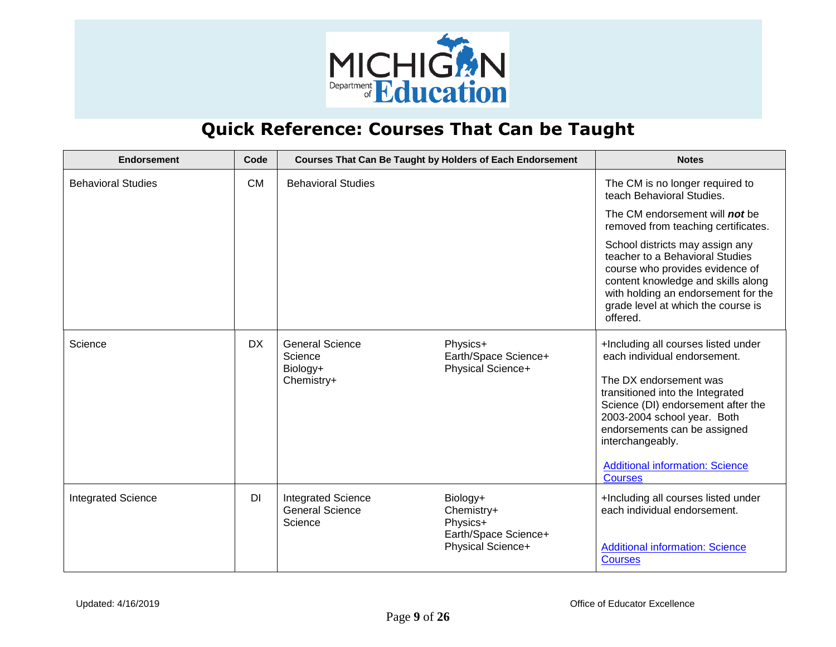

| <b>Endorsement</b>        | Code      |                                                                | <b>Courses That Can Be Taught by Holders of Each Endorsement</b>                | <b>Notes</b>                                                                                                                                                                                                                                                                                                           |
|---------------------------|-----------|----------------------------------------------------------------|---------------------------------------------------------------------------------|------------------------------------------------------------------------------------------------------------------------------------------------------------------------------------------------------------------------------------------------------------------------------------------------------------------------|
| <b>Behavioral Studies</b> | <b>CM</b> | <b>Behavioral Studies</b>                                      |                                                                                 | The CM is no longer required to<br>teach Behavioral Studies.                                                                                                                                                                                                                                                           |
|                           |           |                                                                |                                                                                 | The CM endorsement will not be<br>removed from teaching certificates.                                                                                                                                                                                                                                                  |
|                           |           |                                                                |                                                                                 | School districts may assign any<br>teacher to a Behavioral Studies<br>course who provides evidence of<br>content knowledge and skills along<br>with holding an endorsement for the<br>grade level at which the course is<br>offered.                                                                                   |
| Science                   | <b>DX</b> | <b>General Science</b><br>Science<br>Biology+<br>Chemistry+    | Physics+<br>Earth/Space Science+<br>Physical Science+                           | +Including all courses listed under<br>each individual endorsement.<br>The DX endorsement was<br>transitioned into the Integrated<br>Science (DI) endorsement after the<br>2003-2004 school year. Both<br>endorsements can be assigned<br>interchangeably.<br><b>Additional information: Science</b><br><b>Courses</b> |
| <b>Integrated Science</b> | DI        | <b>Integrated Science</b><br><b>General Science</b><br>Science | Biology+<br>Chemistry+<br>Physics+<br>Earth/Space Science+<br>Physical Science+ | +Including all courses listed under<br>each individual endorsement.<br><b>Additional information: Science</b><br><b>Courses</b>                                                                                                                                                                                        |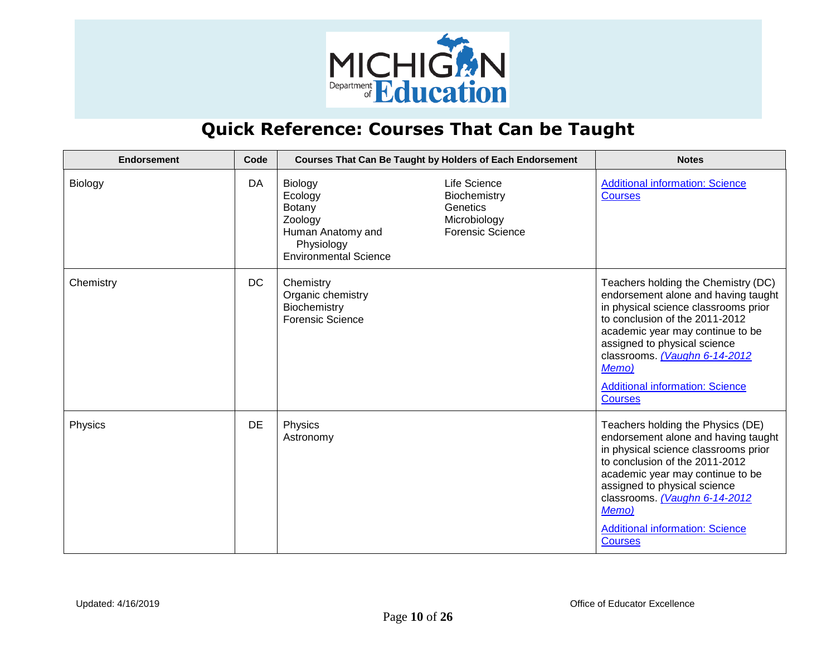

| <b>Endorsement</b> | Code      | <b>Courses That Can Be Taught by Holders of Each Endorsement</b>                                           |                                                                                     | <b>Notes</b>                                                                                                                                                                                                                                                                                                                   |
|--------------------|-----------|------------------------------------------------------------------------------------------------------------|-------------------------------------------------------------------------------------|--------------------------------------------------------------------------------------------------------------------------------------------------------------------------------------------------------------------------------------------------------------------------------------------------------------------------------|
| Biology            | DA        | Biology<br>Ecology<br>Botany<br>Zoology<br>Human Anatomy and<br>Physiology<br><b>Environmental Science</b> | Life Science<br>Biochemistry<br>Genetics<br>Microbiology<br><b>Forensic Science</b> | <b>Additional information: Science</b><br><b>Courses</b>                                                                                                                                                                                                                                                                       |
| Chemistry          | <b>DC</b> | Chemistry<br>Organic chemistry<br>Biochemistry<br><b>Forensic Science</b>                                  |                                                                                     | Teachers holding the Chemistry (DC)<br>endorsement alone and having taught<br>in physical science classrooms prior<br>to conclusion of the 2011-2012<br>academic year may continue to be<br>assigned to physical science<br>classrooms. (Vaughn 6-14-2012<br>Memo)<br><b>Additional information: Science</b><br><b>Courses</b> |
| Physics            | DE        | Physics<br>Astronomy                                                                                       |                                                                                     | Teachers holding the Physics (DE)<br>endorsement alone and having taught<br>in physical science classrooms prior<br>to conclusion of the 2011-2012<br>academic year may continue to be<br>assigned to physical science<br>classrooms. (Vaughn 6-14-2012<br>Memo)<br><b>Additional information: Science</b><br><b>Courses</b>   |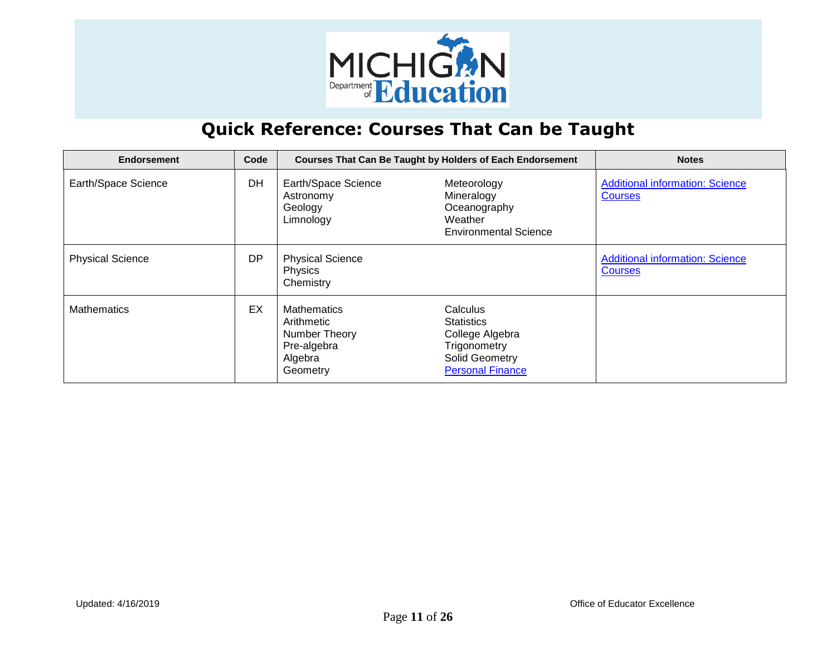

| <b>Endorsement</b>      | Code |                                                                                         | <b>Courses That Can Be Taught by Holders of Each Endorsement</b>                                              | <b>Notes</b>                                             |
|-------------------------|------|-----------------------------------------------------------------------------------------|---------------------------------------------------------------------------------------------------------------|----------------------------------------------------------|
| Earth/Space Science     | DH   | Earth/Space Science<br>Astronomy<br>Geology<br>Limnology                                | Meteorology<br>Mineralogy<br>Oceanography<br>Weather<br><b>Environmental Science</b>                          | <b>Additional information: Science</b><br><b>Courses</b> |
| <b>Physical Science</b> | DP.  | <b>Physical Science</b><br>Physics<br>Chemistry                                         |                                                                                                               | <b>Additional information: Science</b><br><b>Courses</b> |
| <b>Mathematics</b>      | EX   | <b>Mathematics</b><br>Arithmetic<br>Number Theory<br>Pre-algebra<br>Algebra<br>Geometry | Calculus<br><b>Statistics</b><br>College Algebra<br>Trigonometry<br>Solid Geometry<br><b>Personal Finance</b> |                                                          |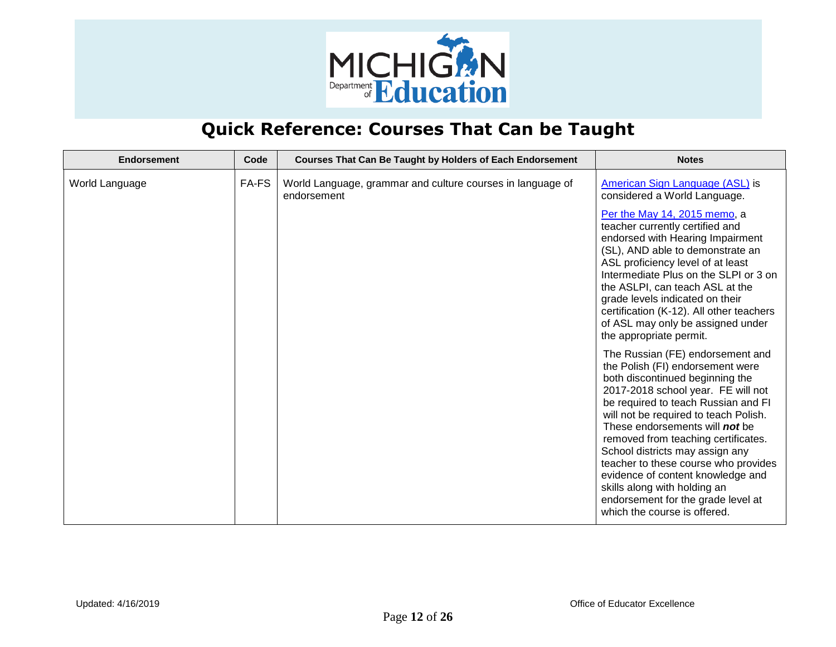

| <b>Endorsement</b> | Code  | <b>Courses That Can Be Taught by Holders of Each Endorsement</b>          | <b>Notes</b>                                                                                                                                                                                                                                                                                                                                                                                                                                                                                                                        |
|--------------------|-------|---------------------------------------------------------------------------|-------------------------------------------------------------------------------------------------------------------------------------------------------------------------------------------------------------------------------------------------------------------------------------------------------------------------------------------------------------------------------------------------------------------------------------------------------------------------------------------------------------------------------------|
| World Language     | FA-FS | World Language, grammar and culture courses in language of<br>endorsement | American Sign Language (ASL) is<br>considered a World Language.                                                                                                                                                                                                                                                                                                                                                                                                                                                                     |
|                    |       |                                                                           | Per the May 14, 2015 memo, a<br>teacher currently certified and<br>endorsed with Hearing Impairment<br>(SL), AND able to demonstrate an<br>ASL proficiency level of at least<br>Intermediate Plus on the SLPI or 3 on<br>the ASLPI, can teach ASL at the<br>grade levels indicated on their<br>certification (K-12). All other teachers<br>of ASL may only be assigned under<br>the appropriate permit.                                                                                                                             |
|                    |       |                                                                           | The Russian (FE) endorsement and<br>the Polish (FI) endorsement were<br>both discontinued beginning the<br>2017-2018 school year. FE will not<br>be required to teach Russian and FI<br>will not be required to teach Polish.<br>These endorsements will <b>not</b> be<br>removed from teaching certificates.<br>School districts may assign any<br>teacher to these course who provides<br>evidence of content knowledge and<br>skills along with holding an<br>endorsement for the grade level at<br>which the course is offered. |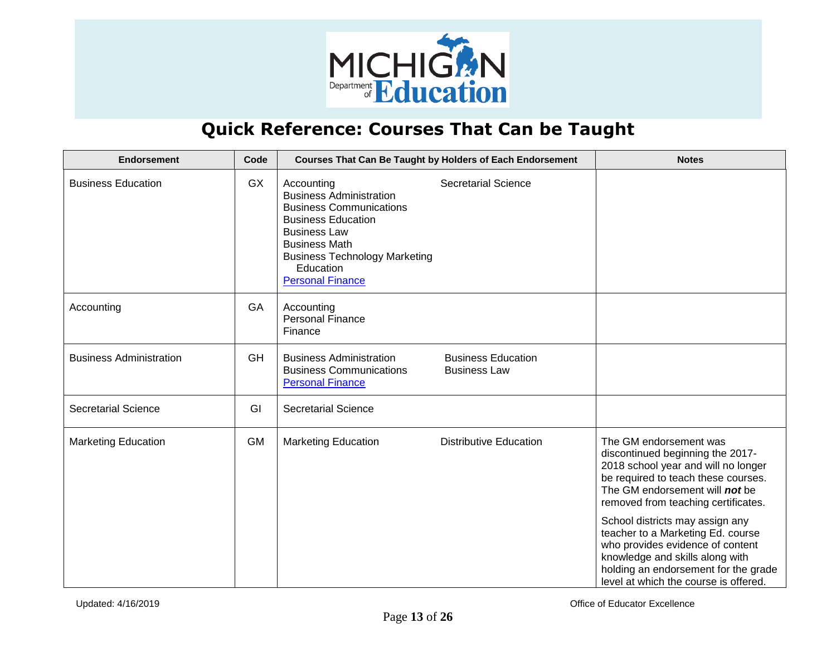

| <b>Endorsement</b>             | Code      |                                                                                                                                                                                                                                            | Courses That Can Be Taught by Holders of Each Endorsement | <b>Notes</b>                                                                                                                                                                                                                                         |
|--------------------------------|-----------|--------------------------------------------------------------------------------------------------------------------------------------------------------------------------------------------------------------------------------------------|-----------------------------------------------------------|------------------------------------------------------------------------------------------------------------------------------------------------------------------------------------------------------------------------------------------------------|
| <b>Business Education</b>      | <b>GX</b> | Accounting<br><b>Business Administration</b><br><b>Business Communications</b><br><b>Business Education</b><br><b>Business Law</b><br><b>Business Math</b><br><b>Business Technology Marketing</b><br>Education<br><b>Personal Finance</b> | <b>Secretarial Science</b>                                |                                                                                                                                                                                                                                                      |
| Accounting                     | GA        | Accounting<br><b>Personal Finance</b><br>Finance                                                                                                                                                                                           |                                                           |                                                                                                                                                                                                                                                      |
| <b>Business Administration</b> | GH        | <b>Business Administration</b><br><b>Business Communications</b><br><b>Personal Finance</b>                                                                                                                                                | <b>Business Education</b><br><b>Business Law</b>          |                                                                                                                                                                                                                                                      |
| <b>Secretarial Science</b>     | GI        | <b>Secretarial Science</b>                                                                                                                                                                                                                 |                                                           |                                                                                                                                                                                                                                                      |
| <b>Marketing Education</b>     | <b>GM</b> | <b>Marketing Education</b>                                                                                                                                                                                                                 | <b>Distributive Education</b>                             | The GM endorsement was<br>discontinued beginning the 2017-<br>2018 school year and will no longer<br>be required to teach these courses.<br>The GM endorsement will not be<br>removed from teaching certificates.<br>School districts may assign any |
|                                |           |                                                                                                                                                                                                                                            |                                                           | teacher to a Marketing Ed. course<br>who provides evidence of content<br>knowledge and skills along with<br>holding an endorsement for the grade<br>level at which the course is offered.                                                            |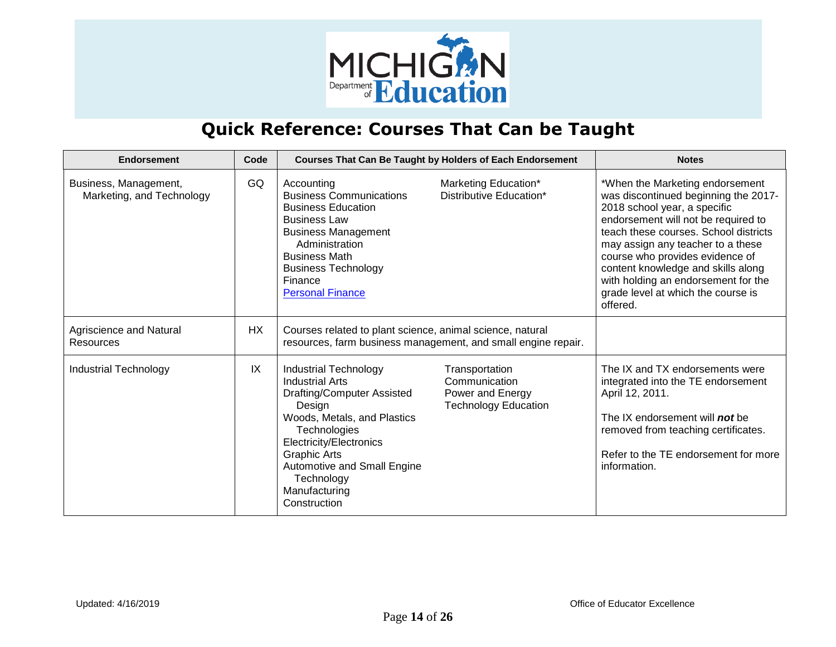

| Endorsement                                        | Code      |                                                                                                                                                                                                                                                                               | <b>Courses That Can Be Taught by Holders of Each Endorsement</b>                   | <b>Notes</b>                                                                                                                                                                                                                                                                                                                                                                                   |
|----------------------------------------------------|-----------|-------------------------------------------------------------------------------------------------------------------------------------------------------------------------------------------------------------------------------------------------------------------------------|------------------------------------------------------------------------------------|------------------------------------------------------------------------------------------------------------------------------------------------------------------------------------------------------------------------------------------------------------------------------------------------------------------------------------------------------------------------------------------------|
| Business, Management,<br>Marketing, and Technology | GQ        | Accounting<br><b>Business Communications</b><br><b>Business Education</b><br><b>Business Law</b><br><b>Business Management</b><br>Administration<br><b>Business Math</b><br><b>Business Technology</b><br>Finance<br><b>Personal Finance</b>                                  | Marketing Education*<br>Distributive Education*                                    | *When the Marketing endorsement<br>was discontinued beginning the 2017-<br>2018 school year, a specific<br>endorsement will not be required to<br>teach these courses. School districts<br>may assign any teacher to a these<br>course who provides evidence of<br>content knowledge and skills along<br>with holding an endorsement for the<br>grade level at which the course is<br>offered. |
| Agriscience and Natural<br>Resources               | <b>HX</b> | Courses related to plant science, animal science, natural                                                                                                                                                                                                                     | resources, farm business management, and small engine repair.                      |                                                                                                                                                                                                                                                                                                                                                                                                |
| Industrial Technology                              | IX        | <b>Industrial Technology</b><br><b>Industrial Arts</b><br>Drafting/Computer Assisted<br>Design<br>Woods, Metals, and Plastics<br>Technologies<br>Electricity/Electronics<br><b>Graphic Arts</b><br>Automotive and Small Engine<br>Technology<br>Manufacturing<br>Construction | Transportation<br>Communication<br>Power and Energy<br><b>Technology Education</b> | The IX and TX endorsements were<br>integrated into the TE endorsement<br>April 12, 2011.<br>The IX endorsement will <b>not</b> be<br>removed from teaching certificates.<br>Refer to the TE endorsement for more<br>information.                                                                                                                                                               |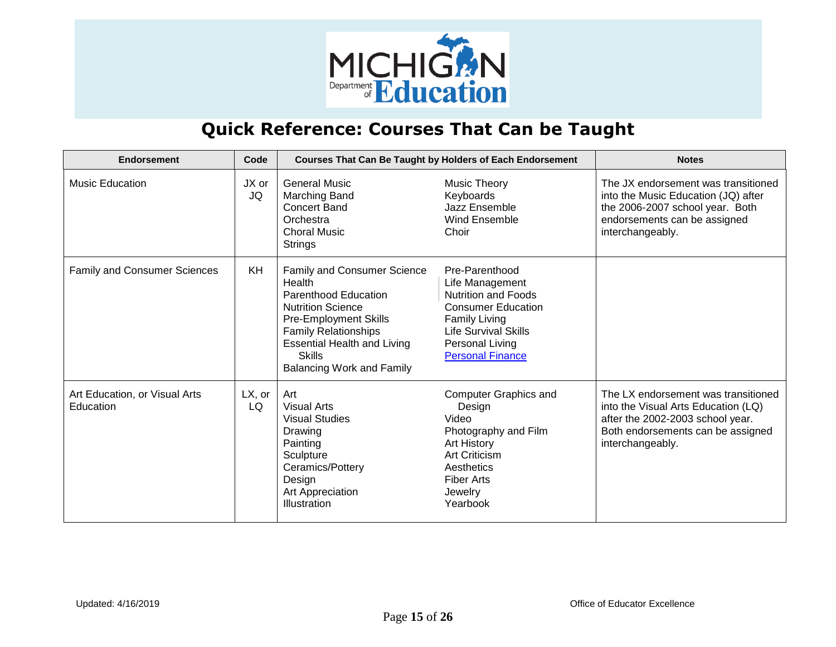

| <b>Endorsement</b>                         | Code            |                                                                                                                                                                                                                                                            | <b>Courses That Can Be Taught by Holders of Each Endorsement</b>                                                                                                                                  | <b>Notes</b>                                                                                                                                                            |
|--------------------------------------------|-----------------|------------------------------------------------------------------------------------------------------------------------------------------------------------------------------------------------------------------------------------------------------------|---------------------------------------------------------------------------------------------------------------------------------------------------------------------------------------------------|-------------------------------------------------------------------------------------------------------------------------------------------------------------------------|
| <b>Music Education</b>                     | JX or<br>JQ     | <b>General Music</b><br>Marching Band<br><b>Concert Band</b><br>Orchestra<br><b>Choral Music</b><br><b>Strings</b>                                                                                                                                         | Music Theory<br>Keyboards<br>Jazz Ensemble<br>Wind Ensemble<br>Choir                                                                                                                              | The JX endorsement was transitioned<br>into the Music Education (JQ) after<br>the 2006-2007 school year. Both<br>endorsements can be assigned<br>interchangeably.       |
| Family and Consumer Sciences               | KH              | Family and Consumer Science<br>Health<br><b>Parenthood Education</b><br><b>Nutrition Science</b><br><b>Pre-Employment Skills</b><br><b>Family Relationships</b><br><b>Essential Health and Living</b><br><b>Skills</b><br><b>Balancing Work and Family</b> | Pre-Parenthood<br>Life Management<br><b>Nutrition and Foods</b><br><b>Consumer Education</b><br><b>Family Living</b><br><b>Life Survival Skills</b><br>Personal Living<br><b>Personal Finance</b> |                                                                                                                                                                         |
| Art Education, or Visual Arts<br>Education | $LX$ , or<br>LQ | Art<br><b>Visual Arts</b><br><b>Visual Studies</b><br>Drawing<br>Painting<br>Sculpture<br>Ceramics/Pottery<br>Design<br>Art Appreciation<br>Illustration                                                                                                   | <b>Computer Graphics and</b><br>Design<br>Video<br>Photography and Film<br>Art History<br>Art Criticism<br>Aesthetics<br><b>Fiber Arts</b><br>Jewelry<br>Yearbook                                 | The LX endorsement was transitioned<br>into the Visual Arts Education (LQ)<br>after the 2002-2003 school year.<br>Both endorsements can be assigned<br>interchangeably. |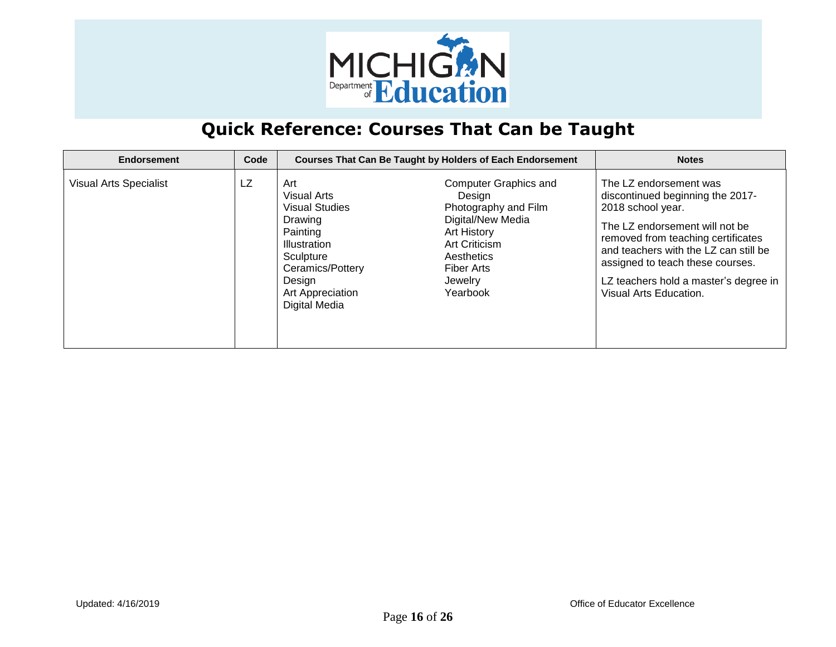

| Endorsement                   | Code |                                                                                                                                                                           | <b>Courses That Can Be Taught by Holders of Each Endorsement</b>                                                                                                              | <b>Notes</b>                                                                                                                                                                                                                                                                                            |
|-------------------------------|------|---------------------------------------------------------------------------------------------------------------------------------------------------------------------------|-------------------------------------------------------------------------------------------------------------------------------------------------------------------------------|---------------------------------------------------------------------------------------------------------------------------------------------------------------------------------------------------------------------------------------------------------------------------------------------------------|
| <b>Visual Arts Specialist</b> | LZ   | Art<br><b>Visual Arts</b><br><b>Visual Studies</b><br>Drawing<br>Painting<br>Illustration<br>Sculpture<br>Ceramics/Pottery<br>Design<br>Art Appreciation<br>Digital Media | <b>Computer Graphics and</b><br>Design<br>Photography and Film<br>Digital/New Media<br>Art History<br>Art Criticism<br>Aesthetics<br><b>Fiber Arts</b><br>Jewelry<br>Yearbook | The LZ endorsement was<br>discontinued beginning the 2017-<br>2018 school year.<br>The LZ endorsement will not be<br>removed from teaching certificates<br>and teachers with the LZ can still be<br>assigned to teach these courses.<br>LZ teachers hold a master's degree in<br>Visual Arts Education. |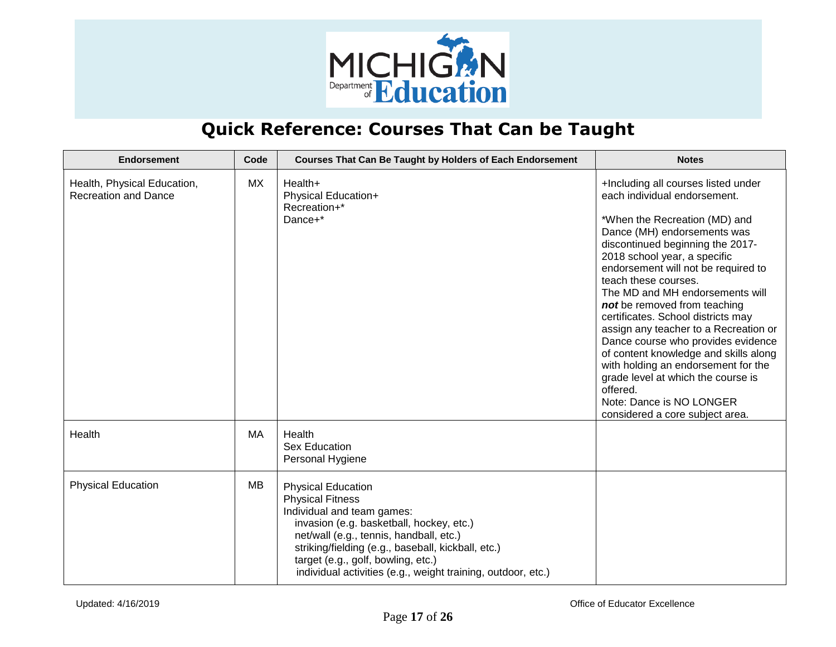

| <b>Endorsement</b>                                         | Code | <b>Courses That Can Be Taught by Holders of Each Endorsement</b>                                                                                                                                                                                                                                                                      | <b>Notes</b>                                                                                                                                                                                                                                                                                                                                                                                                                                                                                                                                                                                     |
|------------------------------------------------------------|------|---------------------------------------------------------------------------------------------------------------------------------------------------------------------------------------------------------------------------------------------------------------------------------------------------------------------------------------|--------------------------------------------------------------------------------------------------------------------------------------------------------------------------------------------------------------------------------------------------------------------------------------------------------------------------------------------------------------------------------------------------------------------------------------------------------------------------------------------------------------------------------------------------------------------------------------------------|
| Health, Physical Education,<br><b>Recreation and Dance</b> | МX   | Health+<br>Physical Education+<br>Recreation+*<br>Dance+*                                                                                                                                                                                                                                                                             | +Including all courses listed under<br>each individual endorsement.<br>*When the Recreation (MD) and<br>Dance (MH) endorsements was<br>discontinued beginning the 2017-<br>2018 school year, a specific<br>endorsement will not be required to<br>teach these courses.<br>The MD and MH endorsements will<br>not be removed from teaching<br>certificates. School districts may<br>assign any teacher to a Recreation or<br>Dance course who provides evidence<br>of content knowledge and skills along<br>with holding an endorsement for the<br>grade level at which the course is<br>offered. |
|                                                            |      |                                                                                                                                                                                                                                                                                                                                       | Note: Dance is NO LONGER<br>considered a core subject area.                                                                                                                                                                                                                                                                                                                                                                                                                                                                                                                                      |
| Health                                                     | MA   | Health<br>Sex Education<br>Personal Hygiene                                                                                                                                                                                                                                                                                           |                                                                                                                                                                                                                                                                                                                                                                                                                                                                                                                                                                                                  |
| <b>Physical Education</b>                                  | MB   | <b>Physical Education</b><br><b>Physical Fitness</b><br>Individual and team games:<br>invasion (e.g. basketball, hockey, etc.)<br>net/wall (e.g., tennis, handball, etc.)<br>striking/fielding (e.g., baseball, kickball, etc.)<br>target (e.g., golf, bowling, etc.)<br>individual activities (e.g., weight training, outdoor, etc.) |                                                                                                                                                                                                                                                                                                                                                                                                                                                                                                                                                                                                  |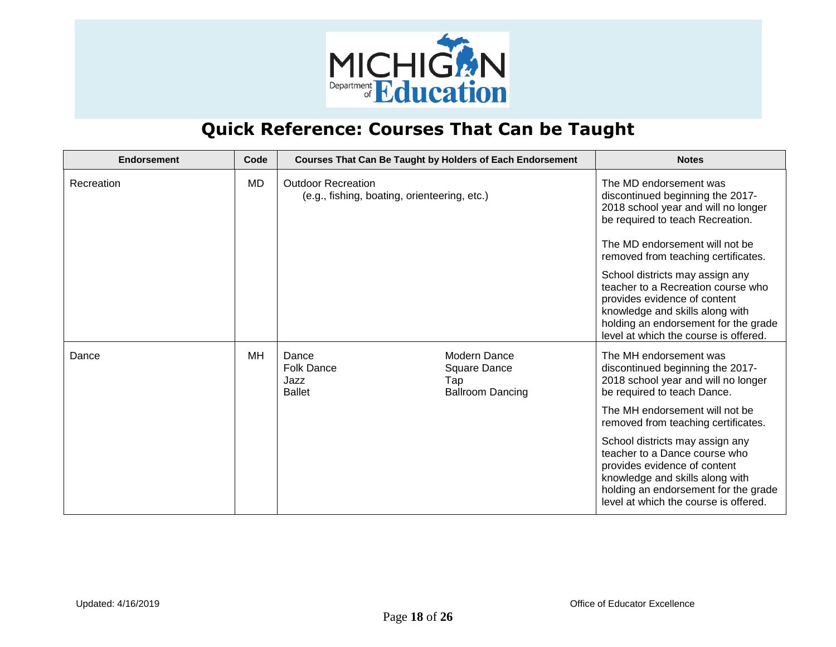

| Endorsement | Code      |                                                                           | <b>Courses That Can Be Taught by Holders of Each Endorsement</b>      | <b>Notes</b>                                                                                                                                                                                                                                                                                                                                                                                       |
|-------------|-----------|---------------------------------------------------------------------------|-----------------------------------------------------------------------|----------------------------------------------------------------------------------------------------------------------------------------------------------------------------------------------------------------------------------------------------------------------------------------------------------------------------------------------------------------------------------------------------|
| Recreation  | <b>MD</b> | <b>Outdoor Recreation</b><br>(e.g., fishing, boating, orienteering, etc.) |                                                                       | The MD endorsement was<br>discontinued beginning the 2017-<br>2018 school year and will no longer<br>be required to teach Recreation.<br>The MD endorsement will not be<br>removed from teaching certificates.<br>School districts may assign any<br>teacher to a Recreation course who<br>provides evidence of content<br>knowledge and skills along with<br>holding an endorsement for the grade |
| Dance       | <b>MH</b> | Dance<br><b>Folk Dance</b><br>Jazz<br><b>Ballet</b>                       | <b>Modern Dance</b><br>Square Dance<br>Tap<br><b>Ballroom Dancing</b> | level at which the course is offered.<br>The MH endorsement was<br>discontinued beginning the 2017-<br>2018 school year and will no longer<br>be required to teach Dance.<br>The MH endorsement will not be                                                                                                                                                                                        |
|             |           |                                                                           |                                                                       | removed from teaching certificates.<br>School districts may assign any<br>teacher to a Dance course who<br>provides evidence of content<br>knowledge and skills along with<br>holding an endorsement for the grade<br>level at which the course is offered.                                                                                                                                        |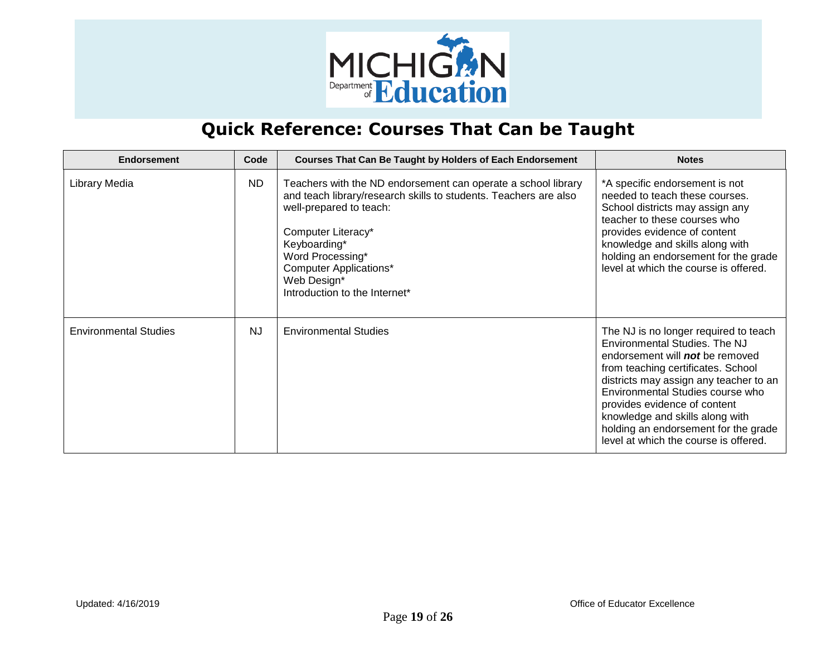

| <b>Endorsement</b>           | Code      | <b>Courses That Can Be Taught by Holders of Each Endorsement</b>                                                                                                                                                                                                                                        | <b>Notes</b>                                                                                                                                                                                                                                                                                                                                                                             |
|------------------------------|-----------|---------------------------------------------------------------------------------------------------------------------------------------------------------------------------------------------------------------------------------------------------------------------------------------------------------|------------------------------------------------------------------------------------------------------------------------------------------------------------------------------------------------------------------------------------------------------------------------------------------------------------------------------------------------------------------------------------------|
| Library Media                | <b>ND</b> | Teachers with the ND endorsement can operate a school library<br>and teach library/research skills to students. Teachers are also<br>well-prepared to teach:<br>Computer Literacy*<br>Keyboarding*<br>Word Processing*<br><b>Computer Applications*</b><br>Web Design*<br>Introduction to the Internet* | *A specific endorsement is not<br>needed to teach these courses.<br>School districts may assign any<br>teacher to these courses who<br>provides evidence of content<br>knowledge and skills along with<br>holding an endorsement for the grade<br>level at which the course is offered.                                                                                                  |
| <b>Environmental Studies</b> | <b>NJ</b> | <b>Environmental Studies</b>                                                                                                                                                                                                                                                                            | The NJ is no longer required to teach<br>Environmental Studies. The NJ<br>endorsement will <b>not</b> be removed<br>from teaching certificates. School<br>districts may assign any teacher to an<br>Environmental Studies course who<br>provides evidence of content<br>knowledge and skills along with<br>holding an endorsement for the grade<br>level at which the course is offered. |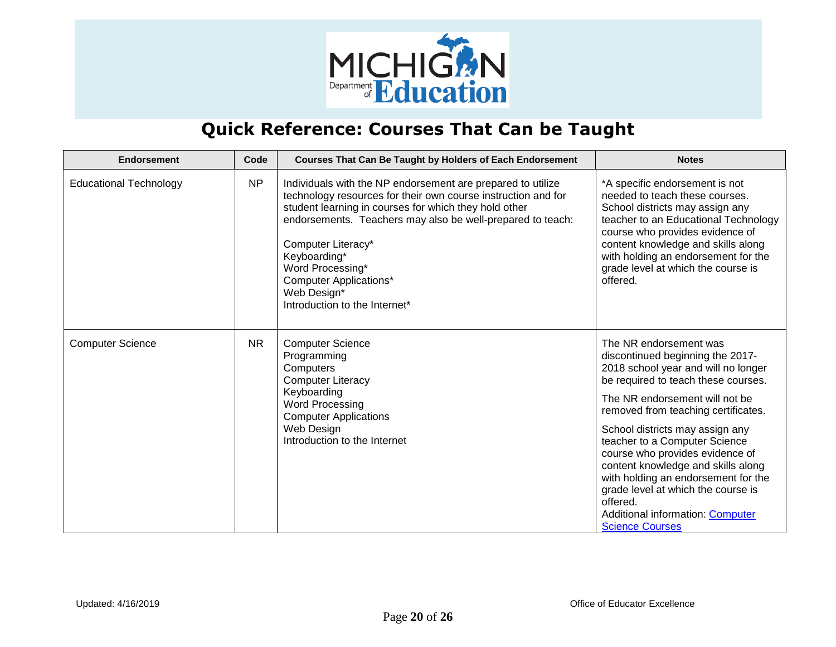

| <b>Endorsement</b>            | Code      | Courses That Can Be Taught by Holders of Each Endorsement                                                                                                                                                                                                                                                                                                                                      | <b>Notes</b>                                                                                                                                                                                                                                                                                                                                                                                                                                                                                                                 |
|-------------------------------|-----------|------------------------------------------------------------------------------------------------------------------------------------------------------------------------------------------------------------------------------------------------------------------------------------------------------------------------------------------------------------------------------------------------|------------------------------------------------------------------------------------------------------------------------------------------------------------------------------------------------------------------------------------------------------------------------------------------------------------------------------------------------------------------------------------------------------------------------------------------------------------------------------------------------------------------------------|
| <b>Educational Technology</b> | <b>NP</b> | Individuals with the NP endorsement are prepared to utilize<br>technology resources for their own course instruction and for<br>student learning in courses for which they hold other<br>endorsements. Teachers may also be well-prepared to teach:<br>Computer Literacy*<br>Keyboarding*<br>Word Processing*<br><b>Computer Applications*</b><br>Web Design*<br>Introduction to the Internet* | *A specific endorsement is not<br>needed to teach these courses.<br>School districts may assign any<br>teacher to an Educational Technology<br>course who provides evidence of<br>content knowledge and skills along<br>with holding an endorsement for the<br>grade level at which the course is<br>offered.                                                                                                                                                                                                                |
| <b>Computer Science</b>       | <b>NR</b> | <b>Computer Science</b><br>Programming<br>Computers<br><b>Computer Literacy</b><br>Keyboarding<br>Word Processing<br><b>Computer Applications</b><br>Web Design<br>Introduction to the Internet                                                                                                                                                                                                | The NR endorsement was<br>discontinued beginning the 2017-<br>2018 school year and will no longer<br>be required to teach these courses.<br>The NR endorsement will not be<br>removed from teaching certificates.<br>School districts may assign any<br>teacher to a Computer Science<br>course who provides evidence of<br>content knowledge and skills along<br>with holding an endorsement for the<br>grade level at which the course is<br>offered.<br><b>Additional information: Computer</b><br><b>Science Courses</b> |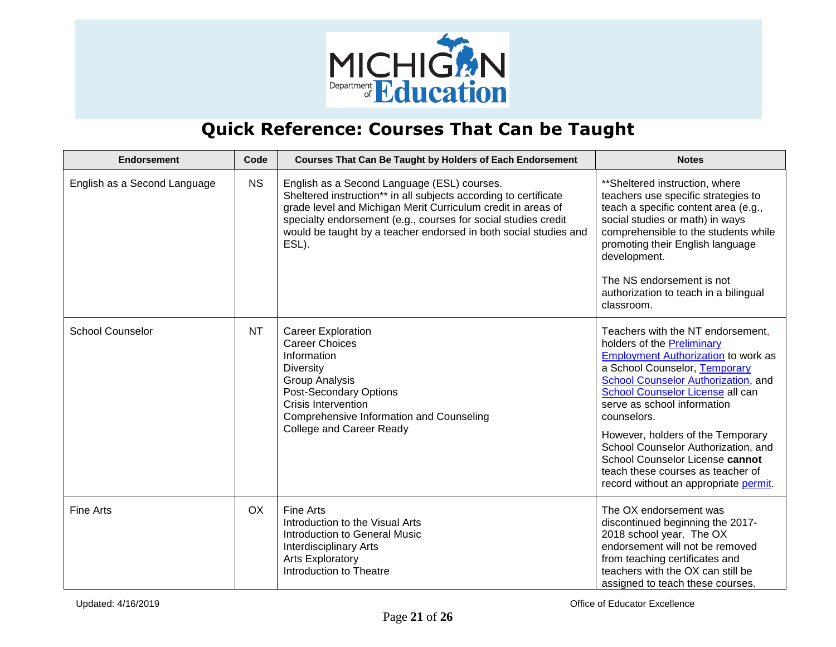

| <b>Endorsement</b>           | Code      | <b>Courses That Can Be Taught by Holders of Each Endorsement</b>                                                                                                                                                                                                                                                               | <b>Notes</b>                                                                                                                                                                                                                                                                                                                                                                                                                                                                |
|------------------------------|-----------|--------------------------------------------------------------------------------------------------------------------------------------------------------------------------------------------------------------------------------------------------------------------------------------------------------------------------------|-----------------------------------------------------------------------------------------------------------------------------------------------------------------------------------------------------------------------------------------------------------------------------------------------------------------------------------------------------------------------------------------------------------------------------------------------------------------------------|
| English as a Second Language | <b>NS</b> | English as a Second Language (ESL) courses.<br>Sheltered instruction** in all subjects according to certificate<br>grade level and Michigan Merit Curriculum credit in areas of<br>specialty endorsement (e.g., courses for social studies credit<br>would be taught by a teacher endorsed in both social studies and<br>ESL). | ** Sheltered instruction, where<br>teachers use specific strategies to<br>teach a specific content area (e.g.,<br>social studies or math) in ways<br>comprehensible to the students while<br>promoting their English language<br>development.<br>The NS endorsement is not<br>authorization to teach in a bilingual<br>classroom.                                                                                                                                           |
| <b>School Counselor</b>      | <b>NT</b> | <b>Career Exploration</b><br><b>Career Choices</b><br>Information<br><b>Diversity</b><br><b>Group Analysis</b><br><b>Post-Secondary Options</b><br><b>Crisis Intervention</b><br>Comprehensive Information and Counseling<br><b>College and Career Ready</b>                                                                   | Teachers with the NT endorsement,<br>holders of the <b>Preliminary</b><br><b>Employment Authorization to work as</b><br>a School Counselor, Temporary<br>School Counselor Authorization, and<br>School Counselor License all can<br>serve as school information<br>counselors.<br>However, holders of the Temporary<br>School Counselor Authorization, and<br>School Counselor License cannot<br>teach these courses as teacher of<br>record without an appropriate permit. |
| <b>Fine Arts</b>             | OX        | Fine Arts<br>Introduction to the Visual Arts<br>Introduction to General Music<br><b>Interdisciplinary Arts</b><br><b>Arts Exploratory</b><br>Introduction to Theatre                                                                                                                                                           | The OX endorsement was<br>discontinued beginning the 2017-<br>2018 school year. The OX<br>endorsement will not be removed<br>from teaching certificates and<br>teachers with the OX can still be<br>assigned to teach these courses.                                                                                                                                                                                                                                        |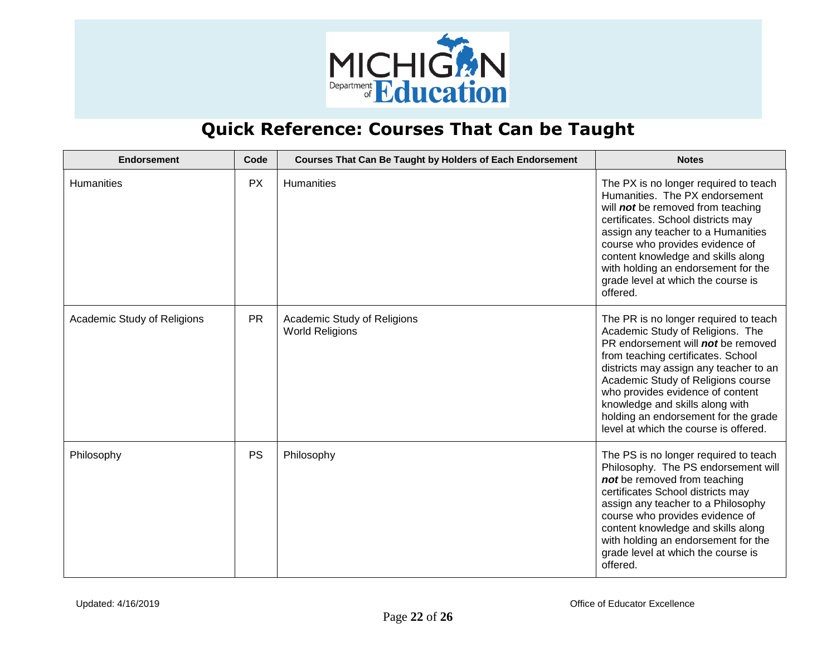

| <b>Endorsement</b>          | Code      | <b>Courses That Can Be Taught by Holders of Each Endorsement</b> | <b>Notes</b>                                                                                                                                                                                                                                                                                                                                                                                         |
|-----------------------------|-----------|------------------------------------------------------------------|------------------------------------------------------------------------------------------------------------------------------------------------------------------------------------------------------------------------------------------------------------------------------------------------------------------------------------------------------------------------------------------------------|
| Humanities                  | <b>PX</b> | <b>Humanities</b>                                                | The PX is no longer required to teach<br>Humanities. The PX endorsement<br>will not be removed from teaching<br>certificates. School districts may<br>assign any teacher to a Humanities<br>course who provides evidence of<br>content knowledge and skills along<br>with holding an endorsement for the<br>grade level at which the course is<br>offered.                                           |
| Academic Study of Religions | <b>PR</b> | Academic Study of Religions<br><b>World Religions</b>            | The PR is no longer required to teach<br>Academic Study of Religions. The<br>PR endorsement will <b>not</b> be removed<br>from teaching certificates. School<br>districts may assign any teacher to an<br>Academic Study of Religions course<br>who provides evidence of content<br>knowledge and skills along with<br>holding an endorsement for the grade<br>level at which the course is offered. |
| Philosophy                  | <b>PS</b> | Philosophy                                                       | The PS is no longer required to teach<br>Philosophy. The PS endorsement will<br>not be removed from teaching<br>certificates School districts may<br>assign any teacher to a Philosophy<br>course who provides evidence of<br>content knowledge and skills along<br>with holding an endorsement for the<br>grade level at which the course is<br>offered.                                            |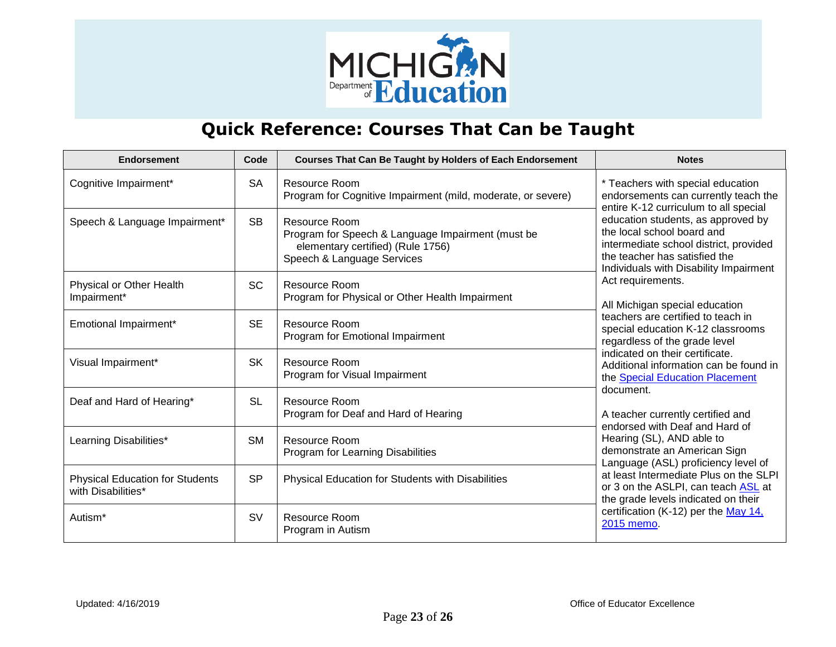

| <b>Endorsement</b>                                           | Code      | <b>Courses That Can Be Taught by Holders of Each Endorsement</b>                                                                      | <b>Notes</b>                                                                                                                                                                                                                                                                                                     |
|--------------------------------------------------------------|-----------|---------------------------------------------------------------------------------------------------------------------------------------|------------------------------------------------------------------------------------------------------------------------------------------------------------------------------------------------------------------------------------------------------------------------------------------------------------------|
| Cognitive Impairment*                                        | <b>SA</b> | Resource Room<br>Program for Cognitive Impairment (mild, moderate, or severe)                                                         | * Teachers with special education<br>endorsements can currently teach the<br>entire K-12 curriculum to all special                                                                                                                                                                                               |
| Speech & Language Impairment*                                | <b>SB</b> | Resource Room<br>Program for Speech & Language Impairment (must be<br>elementary certified) (Rule 1756)<br>Speech & Language Services | education students, as approved by<br>the local school board and<br>intermediate school district, provided<br>the teacher has satisfied the<br>Individuals with Disability Impairment                                                                                                                            |
| Physical or Other Health<br>Impairment*                      | <b>SC</b> | <b>Resource Room</b><br>Program for Physical or Other Health Impairment                                                               | Act requirements.<br>All Michigan special education<br>teachers are certified to teach in<br>special education K-12 classrooms<br>regardless of the grade level<br>indicated on their certificate.<br>Additional information can be found in<br>the Special Education Placement                                  |
| Emotional Impairment*                                        | <b>SE</b> | <b>Resource Room</b><br>Program for Emotional Impairment                                                                              |                                                                                                                                                                                                                                                                                                                  |
| Visual Impairment*                                           | <b>SK</b> | Resource Room<br>Program for Visual Impairment                                                                                        |                                                                                                                                                                                                                                                                                                                  |
| Deaf and Hard of Hearing*                                    | <b>SL</b> | <b>Resource Room</b><br>Program for Deaf and Hard of Hearing                                                                          | document.<br>A teacher currently certified and                                                                                                                                                                                                                                                                   |
| Learning Disabilities*                                       | <b>SM</b> | <b>Resource Room</b><br>Program for Learning Disabilities                                                                             | endorsed with Deaf and Hard of<br>Hearing (SL), AND able to<br>demonstrate an American Sign<br>Language (ASL) proficiency level of<br>at least Intermediate Plus on the SLPI<br>or 3 on the ASLPI, can teach ASL at<br>the grade levels indicated on their<br>certification (K-12) per the May 14,<br>2015 memo. |
| <b>Physical Education for Students</b><br>with Disabilities* | <b>SP</b> | Physical Education for Students with Disabilities                                                                                     |                                                                                                                                                                                                                                                                                                                  |
| Autism <sup>*</sup>                                          | <b>SV</b> | <b>Resource Room</b><br>Program in Autism                                                                                             |                                                                                                                                                                                                                                                                                                                  |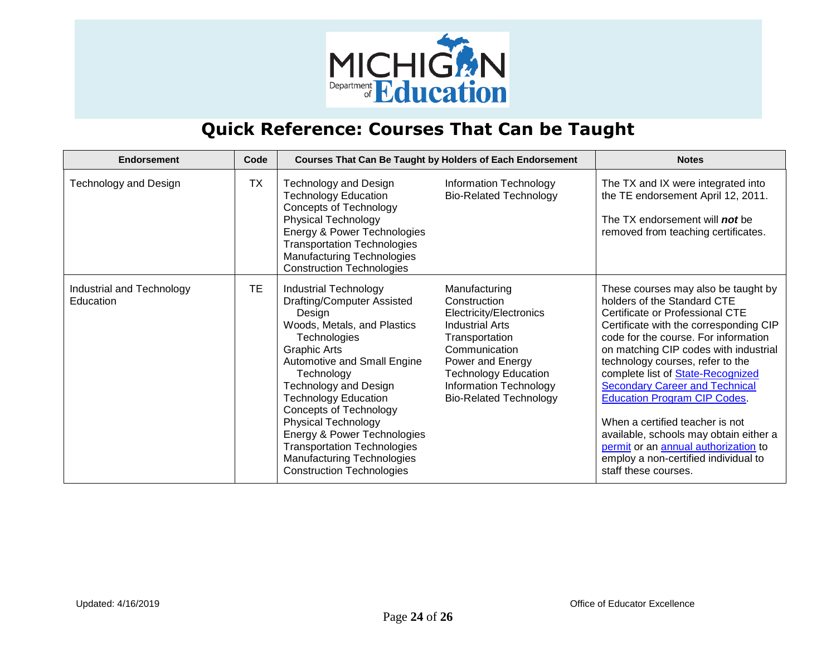

| <b>Endorsement</b>                     | Code      |                                                                                                                                                                                                                                                                                                                                                                                                                                                              | <b>Courses That Can Be Taught by Holders of Each Endorsement</b>                                                                                                                                                                    | <b>Notes</b>                                                                                                                                                                                                                                                                                                                                                                                                                                                                                                                                                                  |
|----------------------------------------|-----------|--------------------------------------------------------------------------------------------------------------------------------------------------------------------------------------------------------------------------------------------------------------------------------------------------------------------------------------------------------------------------------------------------------------------------------------------------------------|-------------------------------------------------------------------------------------------------------------------------------------------------------------------------------------------------------------------------------------|-------------------------------------------------------------------------------------------------------------------------------------------------------------------------------------------------------------------------------------------------------------------------------------------------------------------------------------------------------------------------------------------------------------------------------------------------------------------------------------------------------------------------------------------------------------------------------|
| Technology and Design                  | <b>TX</b> | <b>Technology and Design</b><br><b>Technology Education</b><br><b>Concepts of Technology</b><br><b>Physical Technology</b><br>Energy & Power Technologies<br><b>Transportation Technologies</b><br><b>Manufacturing Technologies</b><br><b>Construction Technologies</b>                                                                                                                                                                                     | Information Technology<br><b>Bio-Related Technology</b>                                                                                                                                                                             | The TX and IX were integrated into<br>the TE endorsement April 12, 2011.<br>The TX endorsement will <b>not</b> be<br>removed from teaching certificates.                                                                                                                                                                                                                                                                                                                                                                                                                      |
| Industrial and Technology<br>Education | TЕ        | <b>Industrial Technology</b><br>Drafting/Computer Assisted<br>Design<br>Woods, Metals, and Plastics<br>Technologies<br>Graphic Arts<br>Automotive and Small Engine<br>Technology<br><b>Technology and Design</b><br><b>Technology Education</b><br><b>Concepts of Technology</b><br><b>Physical Technology</b><br>Energy & Power Technologies<br><b>Transportation Technologies</b><br><b>Manufacturing Technologies</b><br><b>Construction Technologies</b> | Manufacturing<br>Construction<br>Electricity/Electronics<br><b>Industrial Arts</b><br>Transportation<br>Communication<br>Power and Energy<br><b>Technology Education</b><br>Information Technology<br><b>Bio-Related Technology</b> | These courses may also be taught by<br>holders of the Standard CTE<br>Certificate or Professional CTE<br>Certificate with the corresponding CIP<br>code for the course. For information<br>on matching CIP codes with industrial<br>technology courses, refer to the<br>complete list of State-Recognized<br><b>Secondary Career and Technical</b><br><b>Education Program CIP Codes</b><br>When a certified teacher is not<br>available, schools may obtain either a<br>permit or an annual authorization to<br>employ a non-certified individual to<br>staff these courses. |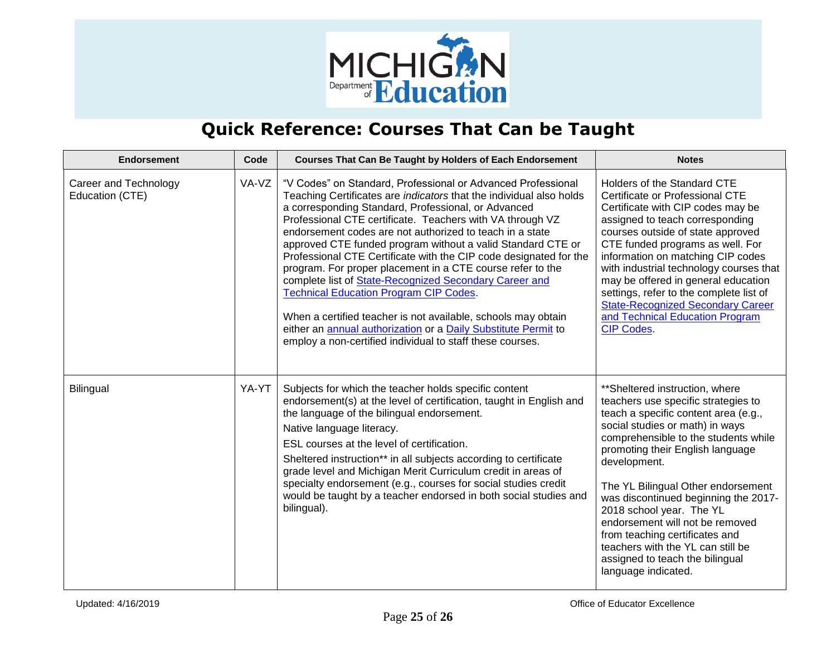

| <b>Endorsement</b>                       | Code  | <b>Courses That Can Be Taught by Holders of Each Endorsement</b>                                                                                                                                                                                                                                                                                                                                                                                                                                                                                                                                                                                                                                                                                                                                                                 | <b>Notes</b>                                                                                                                                                                                                                                                                                                                                                                                                                                                                                                               |
|------------------------------------------|-------|----------------------------------------------------------------------------------------------------------------------------------------------------------------------------------------------------------------------------------------------------------------------------------------------------------------------------------------------------------------------------------------------------------------------------------------------------------------------------------------------------------------------------------------------------------------------------------------------------------------------------------------------------------------------------------------------------------------------------------------------------------------------------------------------------------------------------------|----------------------------------------------------------------------------------------------------------------------------------------------------------------------------------------------------------------------------------------------------------------------------------------------------------------------------------------------------------------------------------------------------------------------------------------------------------------------------------------------------------------------------|
| Career and Technology<br>Education (CTE) | VA-VZ | "V Codes" on Standard, Professional or Advanced Professional<br>Teaching Certificates are indicators that the individual also holds<br>a corresponding Standard, Professional, or Advanced<br>Professional CTE certificate. Teachers with VA through VZ<br>endorsement codes are not authorized to teach in a state<br>approved CTE funded program without a valid Standard CTE or<br>Professional CTE Certificate with the CIP code designated for the<br>program. For proper placement in a CTE course refer to the<br>complete list of State-Recognized Secondary Career and<br><b>Technical Education Program CIP Codes.</b><br>When a certified teacher is not available, schools may obtain<br>either an annual authorization or a Daily Substitute Permit to<br>employ a non-certified individual to staff these courses. | Holders of the Standard CTE<br>Certificate or Professional CTE<br>Certificate with CIP codes may be<br>assigned to teach corresponding<br>courses outside of state approved<br>CTE funded programs as well. For<br>information on matching CIP codes<br>with industrial technology courses that<br>may be offered in general education<br>settings, refer to the complete list of<br><b>State-Recognized Secondary Career</b><br>and Technical Education Program<br><b>CIP Codes.</b>                                      |
| <b>Bilingual</b>                         | YA-YT | Subjects for which the teacher holds specific content<br>endorsement(s) at the level of certification, taught in English and<br>the language of the bilingual endorsement.<br>Native language literacy.<br>ESL courses at the level of certification.<br>Sheltered instruction** in all subjects according to certificate<br>grade level and Michigan Merit Curriculum credit in areas of<br>specialty endorsement (e.g., courses for social studies credit<br>would be taught by a teacher endorsed in both social studies and<br>bilingual).                                                                                                                                                                                                                                                                                   | **Sheltered instruction, where<br>teachers use specific strategies to<br>teach a specific content area (e.g.,<br>social studies or math) in ways<br>comprehensible to the students while<br>promoting their English language<br>development.<br>The YL Bilingual Other endorsement<br>was discontinued beginning the 2017-<br>2018 school year. The YL<br>endorsement will not be removed<br>from teaching certificates and<br>teachers with the YL can still be<br>assigned to teach the bilingual<br>language indicated. |